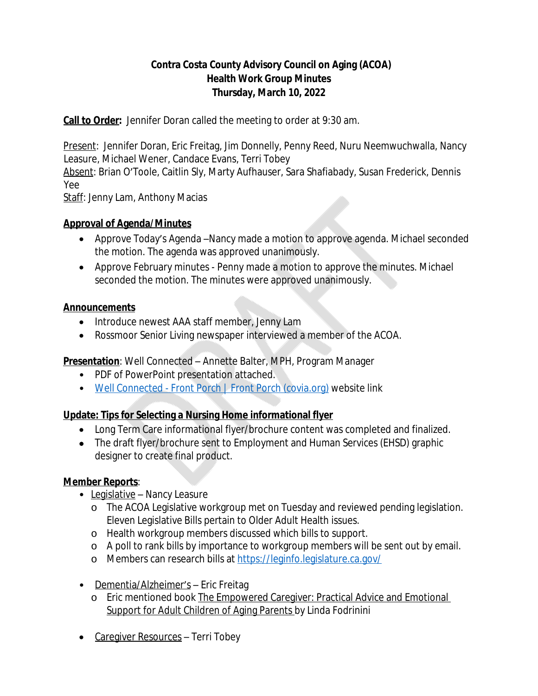## **Contra Costa County Advisory Council on Aging (ACOA) Health Work Group Minutes Thursday, March 10, 2022**

**Call to Order:** Jennifer Doran called the meeting to order at 9:30 am.

Present: Jennifer Doran, Eric Freitag, Jim Donnelly, Penny Reed, Nuru Neemwuchwalla, Nancy Leasure, Michael Wener, Candace Evans, Terri Tobey

Absent: Brian O'Toole, Caitlin Sly, Marty Aufhauser, Sara Shafiabady, Susan Frederick, Dennis Yee

Staff: Jenny Lam, Anthony Macias

## **Approval of Agenda/Minutes**

- Approve Today's Agenda –Nancy made a motion to approve agenda. Michael seconded the motion. The agenda was approved unanimously.
- Approve February minutes Penny made a motion to approve the minutes. Michael seconded the motion. The minutes were approved unanimously.

#### **Announcements**

- Introduce newest AAA staff member, Jenny Lam
- Rossmoor Senior Living newspaper interviewed a member of the ACOA.

# **Presentation**: Well Connected – Annette Balter, MPH, Program Manager

- PDF of PowerPoint presentation attached.
- [Well Connected Front Porch | Front Porch \(covia.org\)](https://covia.org/programs/well-connected/) website link

# **Update: Tips for Selecting a Nursing Home informational flyer**

- Long Term Care informational flyer/brochure content was completed and finalized.
- The draft flyer/brochure sent to Employment and Human Services (EHSD) graphic designer to create final product.

#### **Member Reports**:

- Legislative Nancy Leasure
	- o The ACOA Legislative workgroup met on Tuesday and reviewed pending legislation. Eleven Legislative Bills pertain to Older Adult Health issues.
	- o Health workgroup members discussed which bills to support.
	- o A poll to rank bills by importance to workgroup members will be sent out by email.
	- o Members can research bills at [https://leginfo.legislature.ca.gov/](https://leginfo.legislature.ca.gov/%20)
- Dementia/Alzheimer's Eric Freitag
	- o Eric mentioned book The Empowered Caregiver: Practical Advice and Emotional Support for Adult Children of Aging Parents by Linda Fodrinini
- Caregiver Resources Terri Tobey